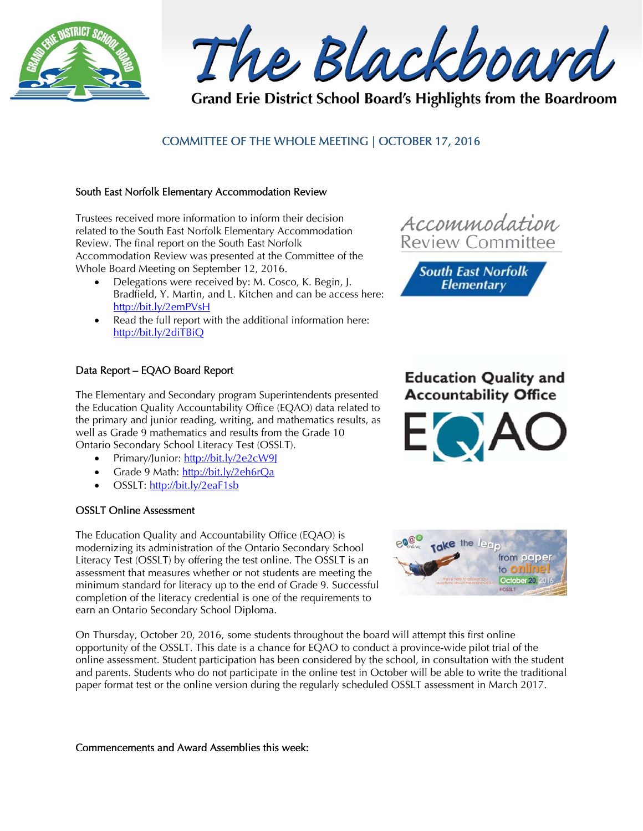

The Blackboard

Grand Erie District School Board's Highlights from the Boardroom

# COMMITTEE OF THE WHOLE MEETING | OCTOBER 17, 2016

#### South East Norfolk Elementary Accommodation Review

Trustees received more information to inform their decision related to the South East Norfolk Elementary Accommodation Review. The final report on the South East Norfolk Accommodation Review was presented at the Committee of the Whole Board Meeting on September 12, 2016.

- Delegations were received by: M. Cosco, K. Begin, J. Bradfield, Y. Martin, and L. Kitchen and can be access here: http://bit.ly/2emPVsH
- Read the full report with the additional information here: http://bit.ly/2diTBiQ

### Data Report – EQAO Board Report

The Elementary and Secondary program Superintendents presented the Education Quality Accountability Office (EQAO) data related to the primary and junior reading, writing, and mathematics results, as well as Grade 9 mathematics and results from the Grade 10 Ontario Secondary School Literacy Test (OSSLT).

- Primary/Junior: http://bit.ly/2e2cW9J
- Grade 9 Math: http://bit.ly/2eh6rQa
- OSSLT: http://bit.ly/2eaF1sb

### OSSLT Online Assessment

The Education Quality and Accountability Office (EQAO) is modernizing its administration of the Ontario Secondary School Literacy Test (OSSLT) by offering the test online. The OSSLT is an assessment that measures whether or not students are meeting the minimum standard for literacy up to the end of Grade 9. Successful completion of the literacy credential is one of the requirements to earn an Ontario Secondary School Diploma.

On Thursday, October 20, 2016, some students throughout the board will attempt this first online opportunity of the OSSLT. This date is a chance for EQAO to conduct a province-wide pilot trial of the online assessment. Student participation has been considered by the school, in consultation with the student and parents. Students who do not participate in the online test in October will be able to write the traditional paper format test or the online version during the regularly scheduled OSSLT assessment in March 2017.

Commencements and Award Assemblies this week:





**Education Quality and Accountability Office** 

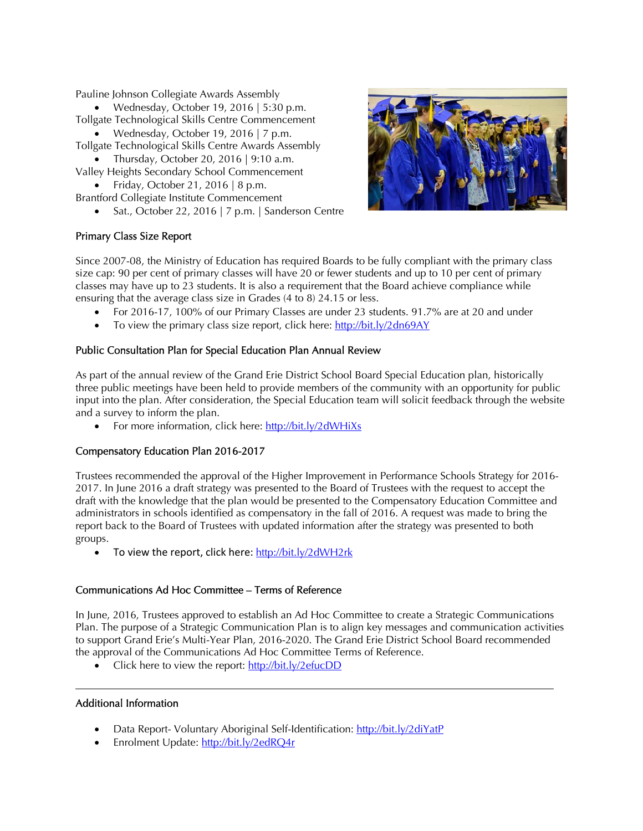Pauline Johnson Collegiate Awards Assembly

Wednesday, October 19, 2016 | 5:30 p.m. Tollgate Technological Skills Centre Commencement

- Wednesday, October 19, 2016 | 7 p.m. Tollgate Technological Skills Centre Awards Assembly
	- Thursday, October 20, 2016 |  $9:10$  a.m.
- Valley Heights Secondary School Commencement • Friday, October 21, 2016 | 8 p.m.
- Brantford Collegiate Institute Commencement
	- Sat., October 22, 2016 | 7 p.m. | Sanderson Centre



# Primary Class Size Report

Since 2007-08, the Ministry of Education has required Boards to be fully compliant with the primary class size cap: 90 per cent of primary classes will have 20 or fewer students and up to 10 per cent of primary classes may have up to 23 students. It is also a requirement that the Board achieve compliance while ensuring that the average class size in Grades (4 to 8) 24.15 or less.

- For 2016-17, 100% of our Primary Classes are under 23 students. 91.7% are at 20 and under
- To view the primary class size report, click here:  $\frac{http://bit.ly/2dn69AY}{http://bit.ly/2dn69AY}$

### Public Consultation Plan for Special Education Plan Annual Review

As part of the annual review of the Grand Erie District School Board Special Education plan, historically three public meetings have been held to provide members of the community with an opportunity for public input into the plan. After consideration, the Special Education team will solicit feedback through the website and a survey to inform the plan.

For more information, click here: http://bit.ly/2dWHiXs

# Compensatory Education Plan 2016-2017

Trustees recommended the approval of the Higher Improvement in Performance Schools Strategy for 2016- 2017. In June 2016 a draft strategy was presented to the Board of Trustees with the request to accept the draft with the knowledge that the plan would be presented to the Compensatory Education Committee and administrators in schools identified as compensatory in the fall of 2016. A request was made to bring the report back to the Board of Trustees with updated information after the strategy was presented to both groups.

To view the report, click here: http://bit.ly/2dWH2rk

### Communications Ad Hoc Committee – Terms of Reference

In June, 2016, Trustees approved to establish an Ad Hoc Committee to create a Strategic Communications Plan. The purpose of a Strategic Communication Plan is to align key messages and communication activities to support Grand Erie's Multi-Year Plan, 2016-2020. The Grand Erie District School Board recommended the approval of the Communications Ad Hoc Committee Terms of Reference.

• Click here to view the report: http://bit.ly/2efucDD

### Additional Information

- Data Report- Voluntary Aboriginal Self-Identification: http://bit.ly/2diYatP
- Enrolment Update: http://bit.ly/2edRQ4r